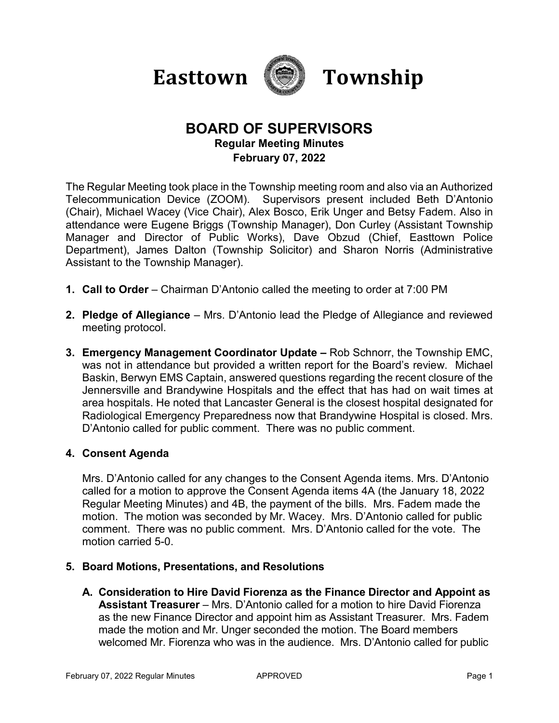



# **BOARD OF SUPERVISORS Regular Meeting Minutes February 07, 2022**

The Regular Meeting took place in the Township meeting room and also via an Authorized Telecommunication Device (ZOOM). Supervisors present included Beth D'Antonio (Chair), Michael Wacey (Vice Chair), Alex Bosco, Erik Unger and Betsy Fadem. Also in attendance were Eugene Briggs (Township Manager), Don Curley (Assistant Township Manager and Director of Public Works), Dave Obzud (Chief, Easttown Police Department), James Dalton (Township Solicitor) and Sharon Norris (Administrative Assistant to the Township Manager).

- **1. Call to Order**  Chairman D'Antonio called the meeting to order at 7:00 PM
- **2. Pledge of Allegiance** Mrs. D'Antonio lead the Pledge of Allegiance and reviewed meeting protocol.
- **3. Emergency Management Coordinator Update –** Rob Schnorr, the Township EMC, was not in attendance but provided a written report for the Board's review. Michael Baskin, Berwyn EMS Captain, answered questions regarding the recent closure of the Jennersville and Brandywine Hospitals and the effect that has had on wait times at area hospitals. He noted that Lancaster General is the closest hospital designated for Radiological Emergency Preparedness now that Brandywine Hospital is closed. Mrs. D'Antonio called for public comment. There was no public comment.

## **4. Consent Agenda**

Mrs. D'Antonio called for any changes to the Consent Agenda items. Mrs. D'Antonio called for a motion to approve the Consent Agenda items 4A (the January 18, 2022 Regular Meeting Minutes) and 4B, the payment of the bills. Mrs. Fadem made the motion. The motion was seconded by Mr. Wacey. Mrs. D'Antonio called for public comment. There was no public comment. Mrs. D'Antonio called for the vote. The motion carried 5-0.

## **5. Board Motions, Presentations, and Resolutions**

**A. Consideration to Hire David Fiorenza as the Finance Director and Appoint as Assistant Treasurer** – Mrs. D'Antonio called for a motion to hire David Fiorenza as the new Finance Director and appoint him as Assistant Treasurer. Mrs. Fadem made the motion and Mr. Unger seconded the motion. The Board members welcomed Mr. Fiorenza who was in the audience. Mrs. D'Antonio called for public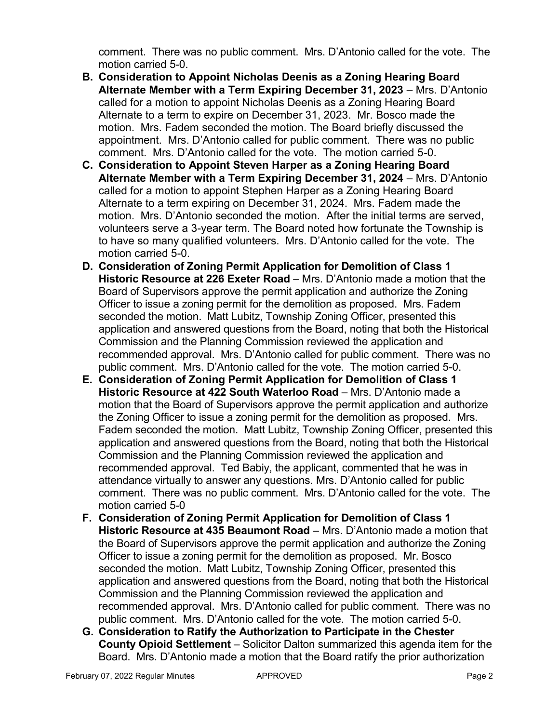comment. There was no public comment. Mrs. D'Antonio called for the vote. The motion carried 5-0.

- **B. Consideration to Appoint Nicholas Deenis as a Zoning Hearing Board Alternate Member with a Term Expiring December 31, 2023** – Mrs. D'Antonio called for a motion to appoint Nicholas Deenis as a Zoning Hearing Board Alternate to a term to expire on December 31, 2023. Mr. Bosco made the motion. Mrs. Fadem seconded the motion. The Board briefly discussed the appointment. Mrs. D'Antonio called for public comment. There was no public comment. Mrs. D'Antonio called for the vote. The motion carried 5-0.
- **C. Consideration to Appoint Steven Harper as a Zoning Hearing Board Alternate Member with a Term Expiring December 31, 2024** – Mrs. D'Antonio called for a motion to appoint Stephen Harper as a Zoning Hearing Board Alternate to a term expiring on December 31, 2024. Mrs. Fadem made the motion. Mrs. D'Antonio seconded the motion. After the initial terms are served, volunteers serve a 3-year term. The Board noted how fortunate the Township is to have so many qualified volunteers. Mrs. D'Antonio called for the vote. The motion carried 5-0.
- **D. Consideration of Zoning Permit Application for Demolition of Class 1 Historic Resource at 226 Exeter Road** – Mrs. D'Antonio made a motion that the Board of Supervisors approve the permit application and authorize the Zoning Officer to issue a zoning permit for the demolition as proposed. Mrs. Fadem seconded the motion. Matt Lubitz, Township Zoning Officer, presented this application and answered questions from the Board, noting that both the Historical Commission and the Planning Commission reviewed the application and recommended approval. Mrs. D'Antonio called for public comment. There was no public comment. Mrs. D'Antonio called for the vote. The motion carried 5-0.
- **E. Consideration of Zoning Permit Application for Demolition of Class 1 Historic Resource at 422 South Waterloo Road** – Mrs. D'Antonio made a motion that the Board of Supervisors approve the permit application and authorize the Zoning Officer to issue a zoning permit for the demolition as proposed. Mrs. Fadem seconded the motion. Matt Lubitz, Township Zoning Officer, presented this application and answered questions from the Board, noting that both the Historical Commission and the Planning Commission reviewed the application and recommended approval. Ted Babiy, the applicant, commented that he was in attendance virtually to answer any questions. Mrs. D'Antonio called for public comment. There was no public comment. Mrs. D'Antonio called for the vote. The motion carried 5-0
- **F. Consideration of Zoning Permit Application for Demolition of Class 1 Historic Resource at 435 Beaumont Road** – Mrs. D'Antonio made a motion that the Board of Supervisors approve the permit application and authorize the Zoning Officer to issue a zoning permit for the demolition as proposed. Mr. Bosco seconded the motion. Matt Lubitz, Township Zoning Officer, presented this application and answered questions from the Board, noting that both the Historical Commission and the Planning Commission reviewed the application and recommended approval. Mrs. D'Antonio called for public comment. There was no public comment. Mrs. D'Antonio called for the vote. The motion carried 5-0.
- **G. Consideration to Ratify the Authorization to Participate in the Chester County Opioid Settlement** – Solicitor Dalton summarized this agenda item for the Board. Mrs. D'Antonio made a motion that the Board ratify the prior authorization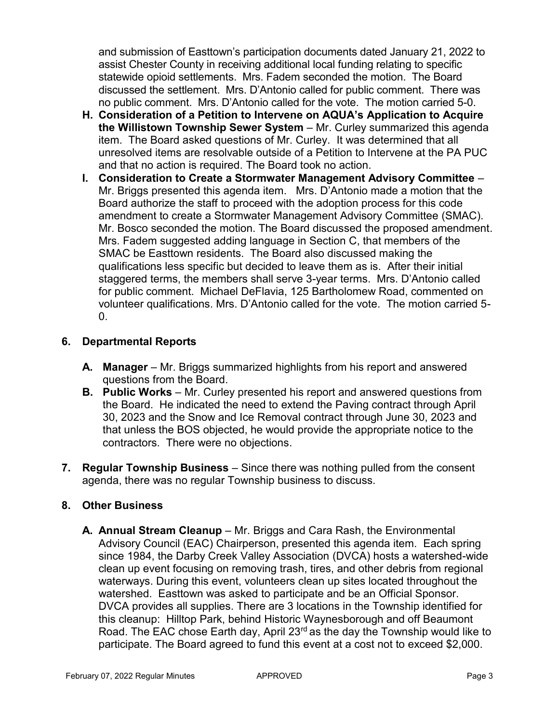and submission of Easttown's participation documents dated January 21, 2022 to assist Chester County in receiving additional local funding relating to specific statewide opioid settlements. Mrs. Fadem seconded the motion. The Board discussed the settlement. Mrs. D'Antonio called for public comment. There was no public comment. Mrs. D'Antonio called for the vote. The motion carried 5-0.

- **H. Consideration of a Petition to Intervene on AQUA's Application to Acquire the Willistown Township Sewer System** – Mr. Curley summarized this agenda item. The Board asked questions of Mr. Curley. It was determined that all unresolved items are resolvable outside of a Petition to Intervene at the PA PUC and that no action is required. The Board took no action.
- **I. Consideration to Create a Stormwater Management Advisory Committee** Mr. Briggs presented this agenda item. Mrs. D'Antonio made a motion that the Board authorize the staff to proceed with the adoption process for this code amendment to create a Stormwater Management Advisory Committee (SMAC). Mr. Bosco seconded the motion. The Board discussed the proposed amendment. Mrs. Fadem suggested adding language in Section C, that members of the SMAC be Easttown residents. The Board also discussed making the qualifications less specific but decided to leave them as is. After their initial staggered terms, the members shall serve 3-year terms. Mrs. D'Antonio called for public comment. Michael DeFlavia, 125 Bartholomew Road, commented on volunteer qualifications. Mrs. D'Antonio called for the vote. The motion carried 5- 0.

## **6. Departmental Reports**

- **A. Manager** Mr. Briggs summarized highlights from his report and answered questions from the Board.
- **B. Public Works** Mr. Curley presented his report and answered questions from the Board. He indicated the need to extend the Paving contract through April 30, 2023 and the Snow and Ice Removal contract through June 30, 2023 and that unless the BOS objected, he would provide the appropriate notice to the contractors. There were no objections.
- **7. Regular Township Business** Since there was nothing pulled from the consent agenda, there was no regular Township business to discuss.

## **8. Other Business**

**A. Annual Stream Cleanup** – Mr. Briggs and Cara Rash, the Environmental Advisory Council (EAC) Chairperson, presented this agenda item. Each spring since 1984, the Darby Creek Valley Association (DVCA) hosts a watershed-wide clean up event focusing on removing trash, tires, and other debris from regional waterways. During this event, volunteers clean up sites located throughout the watershed. Easttown was asked to participate and be an Official Sponsor. DVCA provides all supplies. There are 3 locations in the Township identified for this cleanup: Hilltop Park, behind Historic Waynesborough and off Beaumont Road. The EAC chose Earth day, April  $23<sup>rd</sup>$  as the day the Township would like to participate. The Board agreed to fund this event at a cost not to exceed \$2,000.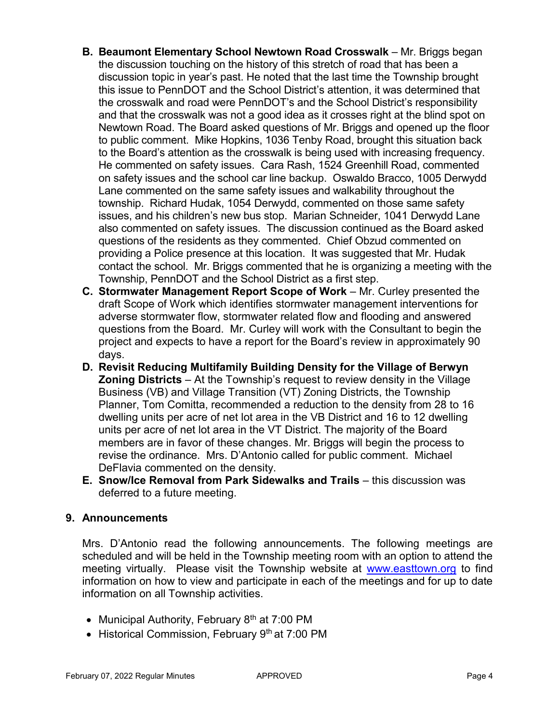- **B. Beaumont Elementary School Newtown Road Crosswalk** Mr. Briggs began the discussion touching on the history of this stretch of road that has been a discussion topic in year's past. He noted that the last time the Township brought this issue to PennDOT and the School District's attention, it was determined that the crosswalk and road were PennDOT's and the School District's responsibility and that the crosswalk was not a good idea as it crosses right at the blind spot on Newtown Road. The Board asked questions of Mr. Briggs and opened up the floor to public comment. Mike Hopkins, 1036 Tenby Road, brought this situation back to the Board's attention as the crosswalk is being used with increasing frequency. He commented on safety issues. Cara Rash, 1524 Greenhill Road, commented on safety issues and the school car line backup. Oswaldo Bracco, 1005 Derwydd Lane commented on the same safety issues and walkability throughout the township. Richard Hudak, 1054 Derwydd, commented on those same safety issues, and his children's new bus stop. Marian Schneider, 1041 Derwydd Lane also commented on safety issues. The discussion continued as the Board asked questions of the residents as they commented. Chief Obzud commented on providing a Police presence at this location. It was suggested that Mr. Hudak contact the school. Mr. Briggs commented that he is organizing a meeting with the Township, PennDOT and the School District as a first step.
- **C. Stormwater Management Report Scope of Work** Mr. Curley presented the draft Scope of Work which identifies stormwater management interventions for adverse stormwater flow, stormwater related flow and flooding and answered questions from the Board. Mr. Curley will work with the Consultant to begin the project and expects to have a report for the Board's review in approximately 90 days.
- **D. Revisit Reducing Multifamily Building Density for the Village of Berwyn Zoning Districts** – At the Township's request to review density in the Village Business (VB) and Village Transition (VT) Zoning Districts, the Township Planner, Tom Comitta, recommended a reduction to the density from 28 to 16 dwelling units per acre of net lot area in the VB District and 16 to 12 dwelling units per acre of net lot area in the VT District. The majority of the Board members are in favor of these changes. Mr. Briggs will begin the process to revise the ordinance. Mrs. D'Antonio called for public comment. Michael DeFlavia commented on the density.
- **E. Snow/Ice Removal from Park Sidewalks and Trails** this discussion was deferred to a future meeting.

## **9. Announcements**

Mrs. D'Antonio read the following announcements. The following meetings are scheduled and will be held in the Township meeting room with an option to attend the meeting virtually. Please visit the Township website at [www.easttown.org](http://www.easttown.org/) to find information on how to view and participate in each of the meetings and for up to date information on all Township activities.

- Municipal Authority, February  $8<sup>th</sup>$  at 7:00 PM
- Historical Commission, February 9<sup>th</sup> at 7:00 PM